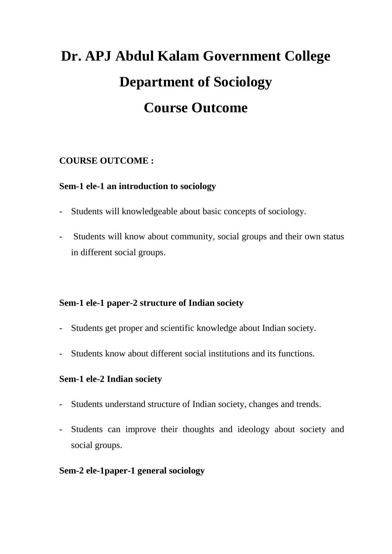# **Dr. APJ Abdul Kalam Government College Department of Sociology Course Outcome**

# **COURSE OUTCOME :**

# **Sem-1 ele-1 an introduction to sociology**

- Students will knowledgeable about basic concepts of sociology.
- Students will know about community, social groups and their own status in different social groups.

# **Sem-1 ele-1 paper-2 structure of Indian society**

- Students get proper and scientific knowledge about Indian society.
- Students know about different social institutions and its functions.

## **Sem-1 ele-2 Indian society**

- Students understand structure of Indian society, changes and trends.
- Students can improve their thoughts and ideology about society and social groups.

# **Sem-2 ele-1paper-1 general sociology**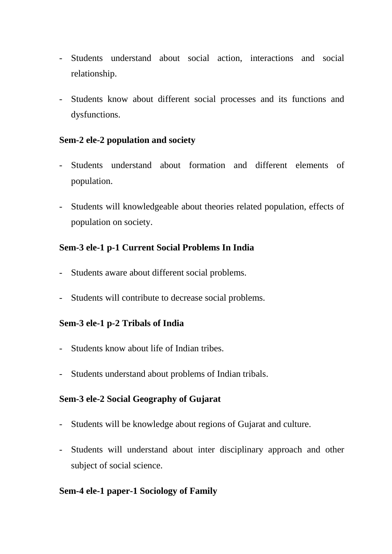- Students understand about social action, interactions and social relationship.
- Students know about different social processes and its functions and dysfunctions.

## **Sem-2 ele-2 population and society**

- Students understand about formation and different elements of population.
- Students will knowledgeable about theories related population, effects of population on society.

## **Sem-3 ele-1 p-1 Current Social Problems In India**

- Students aware about different social problems.
- Students will contribute to decrease social problems.

## **Sem-3 ele-1 p-2 Tribals of India**

- Students know about life of Indian tribes.
- Students understand about problems of Indian tribals.

## **Sem-3 ele-2 Social Geography of Gujarat**

- Students will be knowledge about regions of Gujarat and culture.
- Students will understand about inter disciplinary approach and other subject of social science.

## **Sem-4 ele-1 paper-1 Sociology of Family**